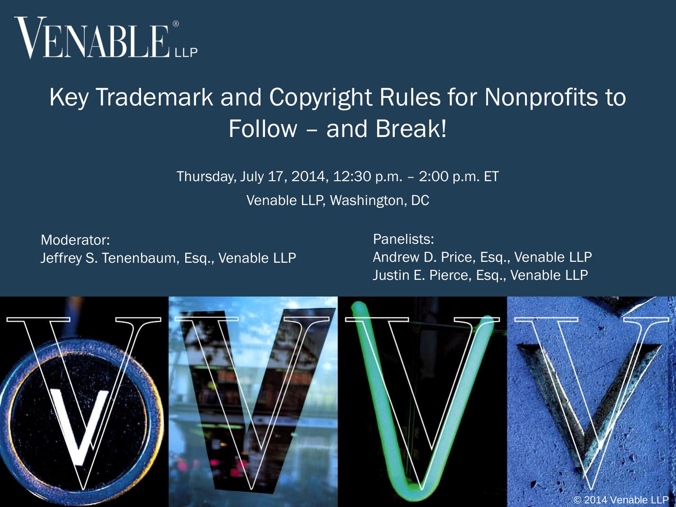

#### Key Trademark and Copyright Rules for Nonprofits to Follow – and Break!

Thursday, July 17, 2014, 12:30 p.m. – 2:00 p.m. ET Venable LLP, Washington, DC

Moderator: Jeffrey S. Tenenbaum, Esq., Venable LLP Panelists: Andrew D. Price, Esq., Venable LLP Justin E. Pierce, Esq., Venable LLP

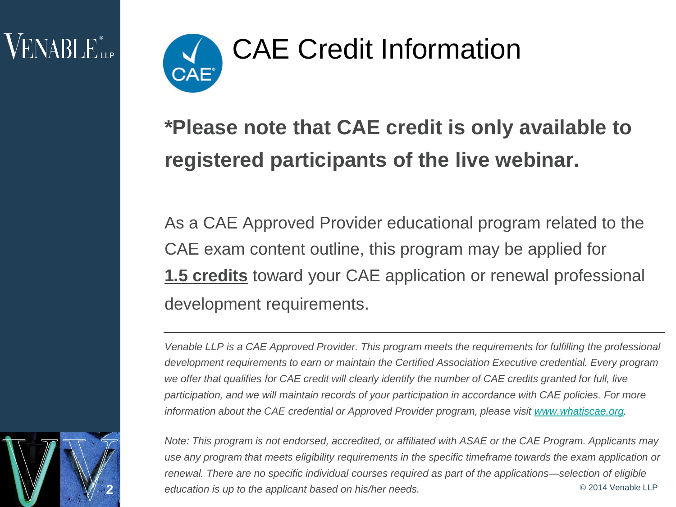

#### **\*Please note that CAE credit is only available to registered participants of the live webinar.**

As a CAE Approved Provider educational program related to the CAE exam content outline, this program may be applied for **1.5 credits** toward your CAE application or renewal professional development requirements.

*Venable LLP is a CAE Approved Provider. This program meets the requirements for fulfilling the professional development requirements to earn or maintain the Certified Association Executive credential. Every program we offer that qualifies for CAE credit will clearly identify the number of CAE credits granted for full, live participation, and we will maintain records of your participation in accordance with CAE policies. For more*  information about the CAE credential or Approved Provider program, please visit **www.whatiscae.org**.

*Note: This program is not endorsed, accredited, or affiliated with ASAE or the CAE Program. Applicants may use any program that meets eligibility requirements in the specific timeframe towards the exam application or renewal. There are no specific individual courses required as part of the applications—selection of eligible*  **2** *education is up to the applicant based on his/her needs.* © 2014 Venable LLP

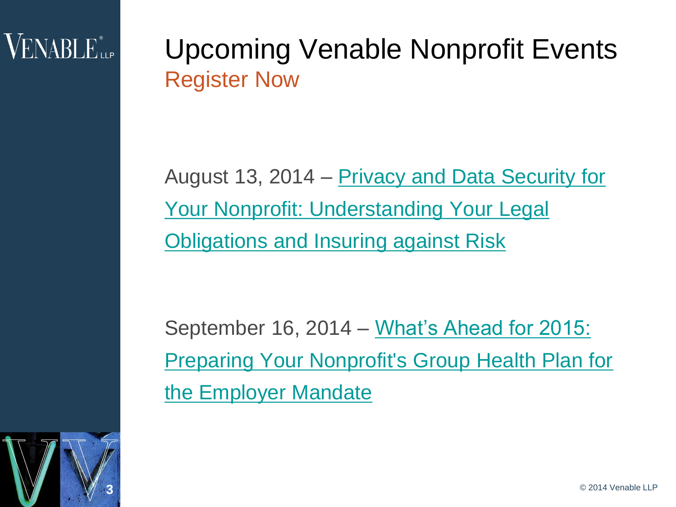$\rm VENABI$   $E_{\rm{up}}^*$ 

#### Upcoming Venable Nonprofit Events Register Now

August 13, 2014 – [Privacy and Data Security for](http://www.venable.com/Privacy-and-Data-Security-for-Your-Nonprofit-Understanding-Your-Legal-Obligations-and-Insuring-against-Risk)  [Your Nonprofit: Understanding Your Legal](http://www.venable.com/Privacy-and-Data-Security-for-Your-Nonprofit-Understanding-Your-Legal-Obligations-and-Insuring-against-Risk)  **[Obligations and Insuring against Risk](http://www.venable.com/Privacy-and-Data-Security-for-Your-Nonprofit-Understanding-Your-Legal-Obligations-and-Insuring-against-Risk)** 

September 16, 2014 – What's Ahead for 2015: [Preparing Your Nonprofit's Group Health Plan for](http://www.venable.com/Whats-Ahead-for-2015-Preparing-Your-Nonprofits-Group-Health-Plan-for-the-Employer-Mandate)  [the Employer Mandate](http://www.venable.com/Whats-Ahead-for-2015-Preparing-Your-Nonprofits-Group-Health-Plan-for-the-Employer-Mandate)

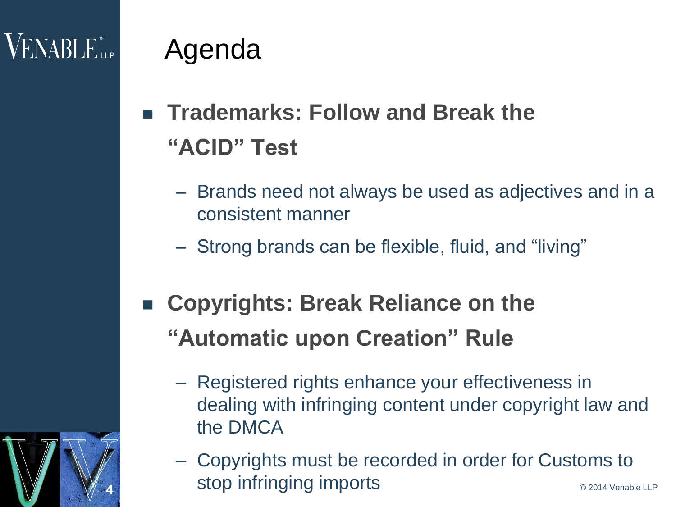4

**4**

# Agenda

- Trademarks: Follow and Break the **"ACID" Test**
	- Brands need not always be used as adjectives and in a consistent manner
	- Strong brands can be flexible, fluid, and "living"
- **Copyrights: Break Reliance on the "Automatic upon Creation" Rule**
	- Registered rights enhance your effectiveness in dealing with infringing content under copyright law and the DMCA
	- Copyrights must be recorded in order for Customs to stop infringing imports  $\sum_{0.2014 \text{ Venable LLP}}$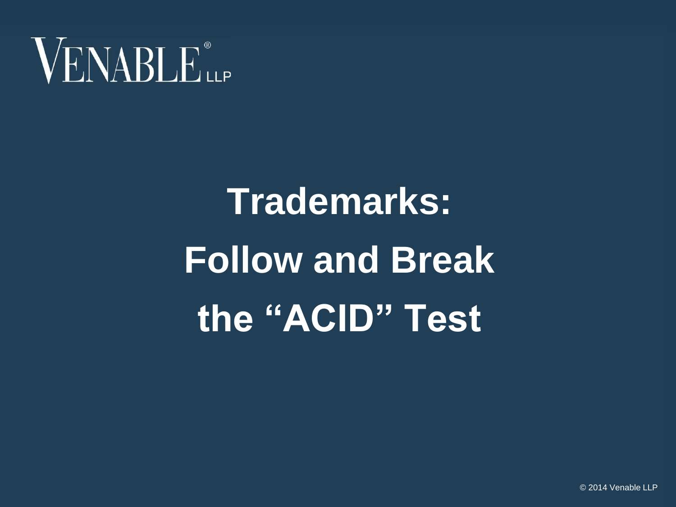

# **Trademarks: Follow and Break the "ACID" Test**

© 2014 Venable LLP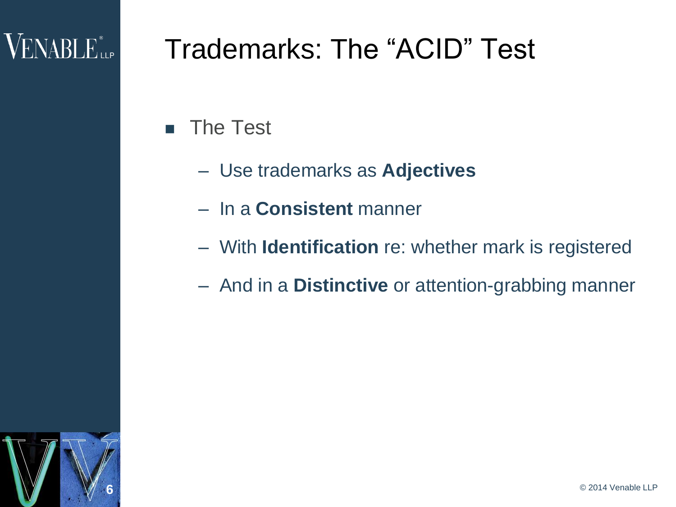#### Trademarks: The"ACID"Test

- **The Test** 
	- Use trademarks as **Adjectives**
	- In a **Consistent** manner
	- With **Identification** re: whether mark is registered
	- And in a **Distinctive** or attention-grabbing manner

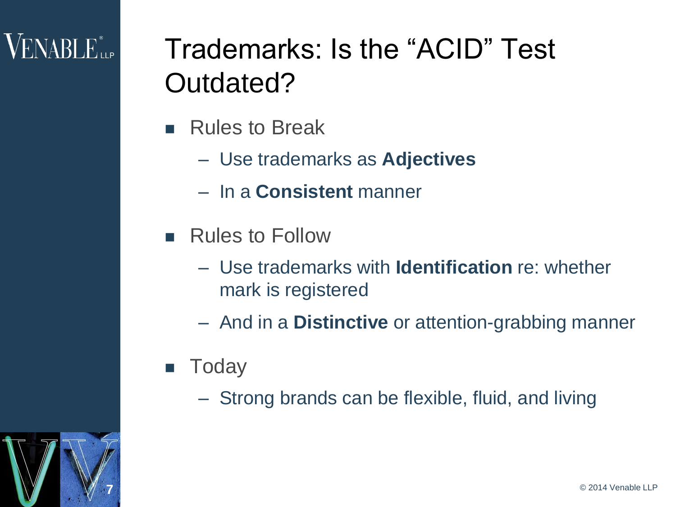# Trademarks: Is the "ACID" Test Outdated?

- Rules to Break
	- Use trademarks as **Adjectives**
	- In a **Consistent** manner
- Rules to Follow
	- Use trademarks with **Identification** re: whether mark is registered
	- And in a **Distinctive** or attention-grabbing manner
- **Today**

7

– Strong brands can be flexible, fluid, and living



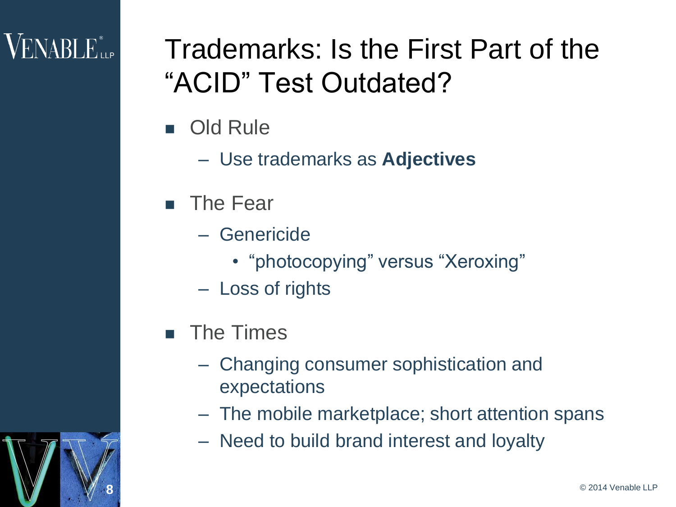#### $VENABLE_{\sf LLP}^*$

8

#### Trademarks: Is the First Part of the "ACID" Test Outdated?

- Old Rule
	- Use trademarks as **Adjectives**
- **The Fear** 
	- Genericide
		- "photocopying" versus "Xeroxing"
	- Loss of rights
- **The Times** 
	- Changing consumer sophistication and expectations
	- The mobile marketplace; short attention spans
	- Need to build brand interest and loyalty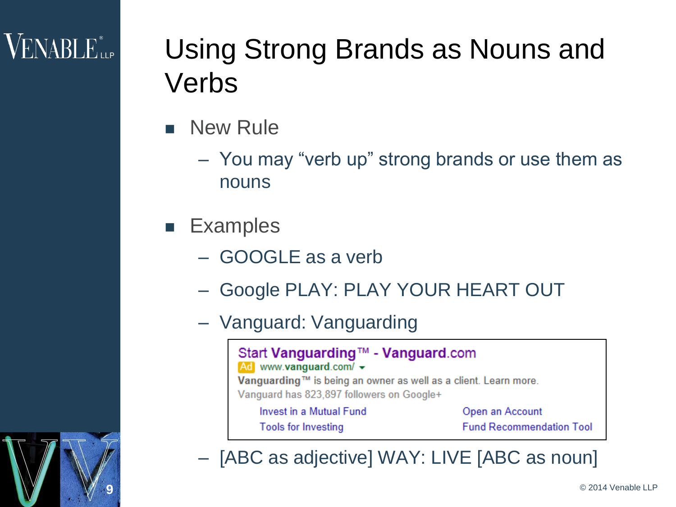#### $VENABLE_{\scriptscriptstyle{\text{LLP}}}$

9

# Using Strong Brands as Nouns and Verbs

- New Rule
	- You may "verb up" strong brands or use them as nouns
- Examples
	- GOOGLE as a verb
	- Google PLAY: PLAY YOUR HEART OUT
	- Vanguard: Vanguarding



– [ABC as adjective] WAY: LIVE [ABC as noun]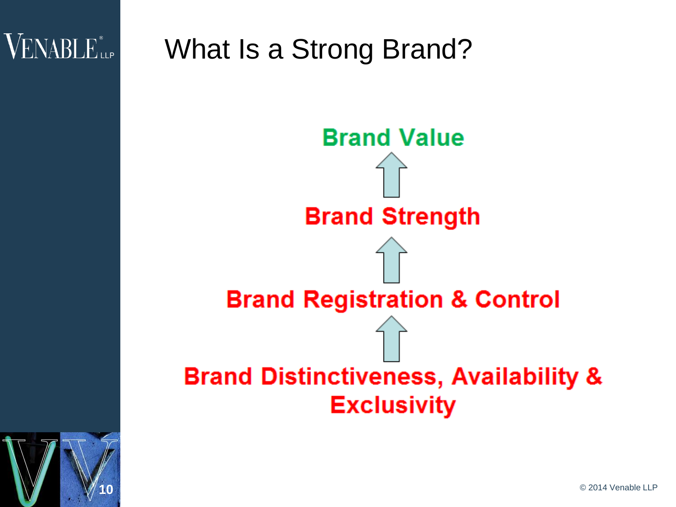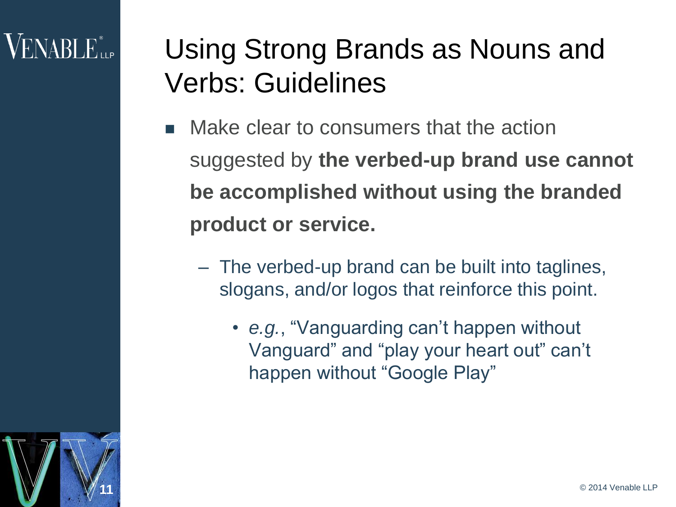# Using Strong Brands as Nouns and Verbs: Guidelines

- Make clear to consumers that the action suggested by **the verbed-up brand use cannot be accomplished without using the branded product or service.**
	- The verbed-up brand can be built into taglines, slogans, and/or logos that reinforce this point.
		- *e.g.*, "Vanguarding can't happen without Vanguard" and "play your heart out" can't happen without "Google Play"

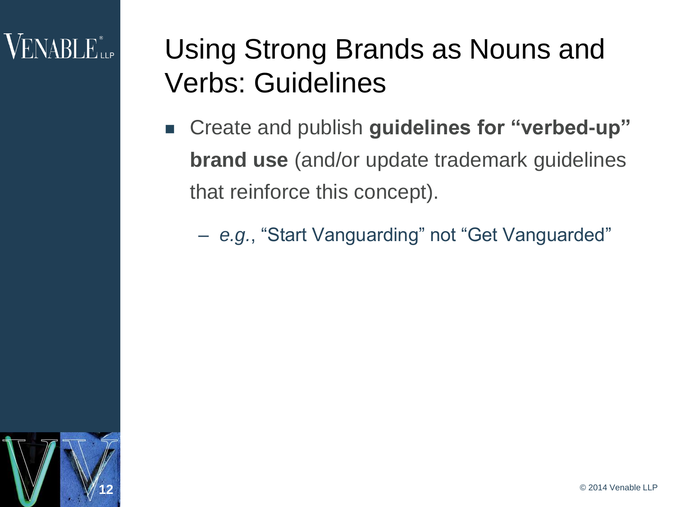#### VENABLE<sup>®</sup>LLP

# Using Strong Brands as Nouns and Verbs: Guidelines

- Create and publish **guidelines for "verbed-up" brand use** (and/or update trademark guidelines that reinforce this concept).
	- e.g., "Start Vanguarding" not "Get Vanguarded"

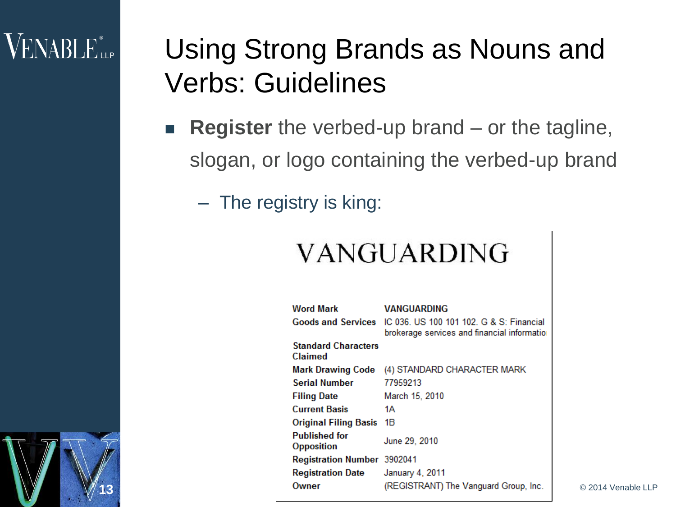#### $\mathsf{VENABLE}_{\mathsf{LP}}^*$

13

# Using Strong Brands as Nouns and Verbs: Guidelines

- **Register** the verbed-up brand or the tagline, slogan, or logo containing the verbed-up brand
	- The registry is king:

|                                              | VANGUARDING                                                                              |                    |
|----------------------------------------------|------------------------------------------------------------------------------------------|--------------------|
|                                              |                                                                                          |                    |
|                                              |                                                                                          |                    |
|                                              |                                                                                          |                    |
| <b>Word Mark</b>                             | <b>VANGUARDING</b>                                                                       |                    |
| <b>Goods and Services</b>                    | IC 036, US 100 101 102, G & S: Financial<br>brokerage services and financial information |                    |
| <b>Standard Characters</b><br><b>Claimed</b> |                                                                                          |                    |
| <b>Mark Drawing Code</b>                     | (4) STANDARD CHARACTER MARK                                                              |                    |
| <b>Serial Number</b>                         | 77959213                                                                                 |                    |
| <b>Filing Date</b>                           | March 15, 2010                                                                           |                    |
| <b>Current Basis</b>                         | 1А                                                                                       |                    |
| <b>Original Filing Basis</b>                 | 18                                                                                       |                    |
| <b>Published for</b><br><b>Opposition</b>    | June 29, 2010                                                                            |                    |
| <b>Registration Number 3902041</b>           |                                                                                          |                    |
| <b>Registration Date</b>                     | January 4, 2011                                                                          |                    |
| Owner                                        | (REGISTRANT) The Vanguard Group, Inc.                                                    | © 2014 Venable LLP |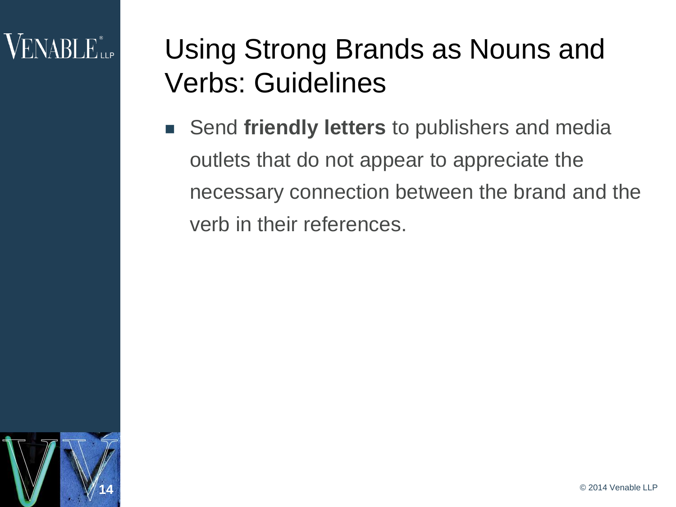#### $\rm VENABI$   $\rm E_{\rm up}^{\ast}$

# Using Strong Brands as Nouns and Verbs: Guidelines

■ Send friendly letters to publishers and media outlets that do not appear to appreciate the necessary connection between the brand and the verb in their references.

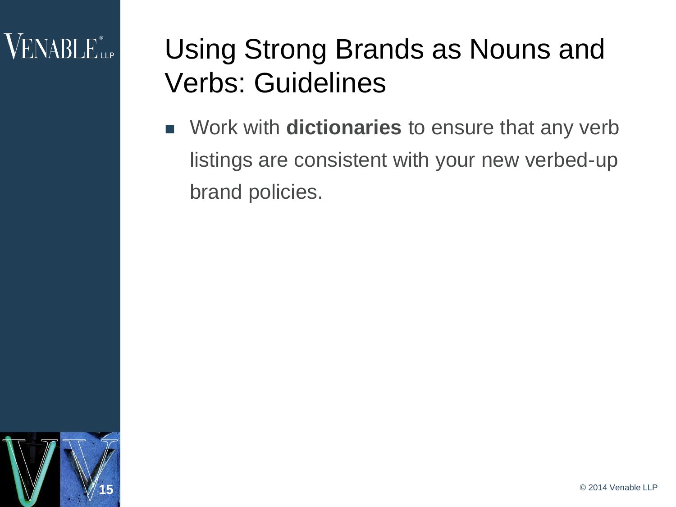# Using Strong Brands as Nouns and Verbs: Guidelines

 Work with **dictionaries** to ensure that any verb listings are consistent with your new verbed-up brand policies.

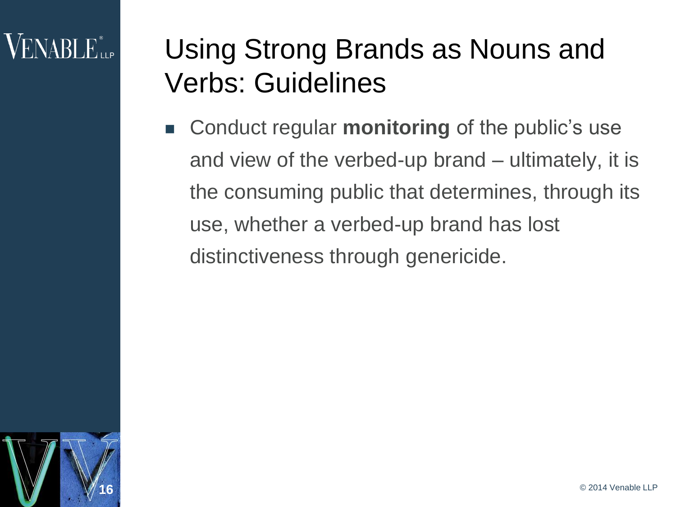# Using Strong Brands as Nouns and Verbs: Guidelines

**EXECONDERGIVE CONDUCT REGISTME INCORDING THE CONDUCT SUSCESS** and view of the verbed-up brand – ultimately, it is the consuming public that determines, through its use, whether a verbed-up brand has lost distinctiveness through genericide.

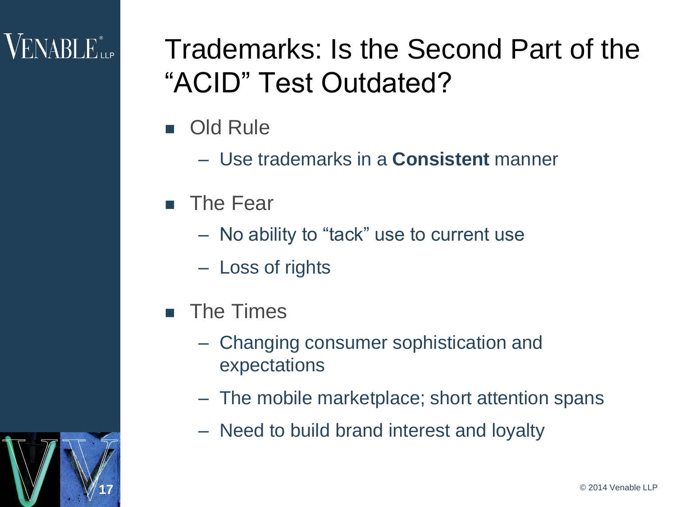### Trademarks: Is the Second Part of the "ACID" Test Outdated?

- **Old Rule** 
	- Use trademarks in a **Consistent** manner
- **The Fear** 
	- No ability to "tack" use to current use
	- Loss of rights
- **The Times** 
	- Changing consumer sophistication and expectations
	- The mobile marketplace; short attention spans
	- Need to build brand interest and loyalty



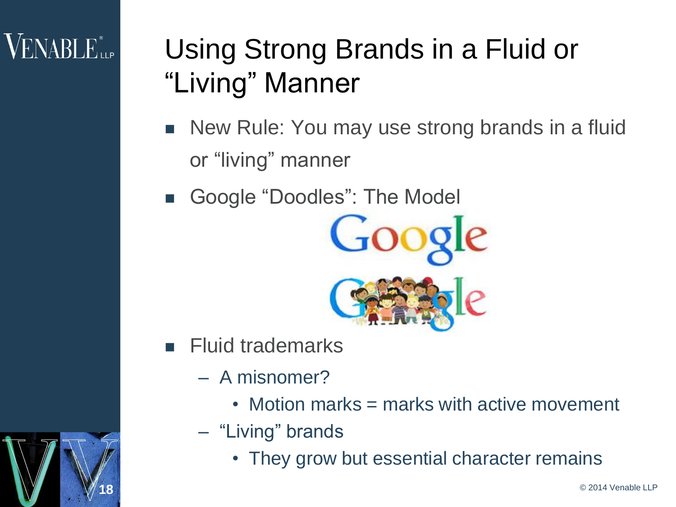18

# Using Strong Brands in a Fluid or "Living" Manner

- New Rule: You may use strong brands in a fluid or "living" manner
- Google "Doodles": The Model



- Fluid trademarks
	- A misnomer?
		- Motion marks  $=$  marks with active movement
	- "Living" brands
		- They grow but essential character remains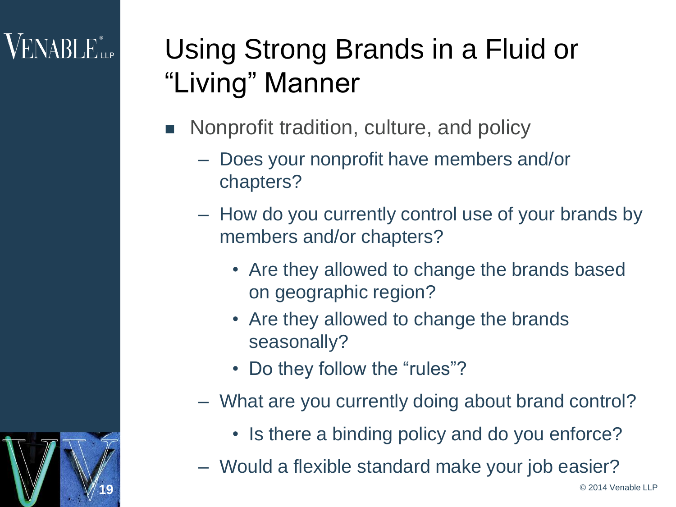#### VENABLE<sup>®</sup>LLP

19

# Using Strong Brands in a Fluid or "Living" Manner

- **Nonprofit tradition, culture, and policy** 
	- Does your nonprofit have members and/or chapters?
	- How do you currently control use of your brands by members and/or chapters?
		- Are they allowed to change the brands based on geographic region?
		- Are they allowed to change the brands seasonally?
		- Do they follow the "rules"?
	- What are you currently doing about brand control?
		- Is there a binding policy and do you enforce?
	- Would a flexible standard make your job easier?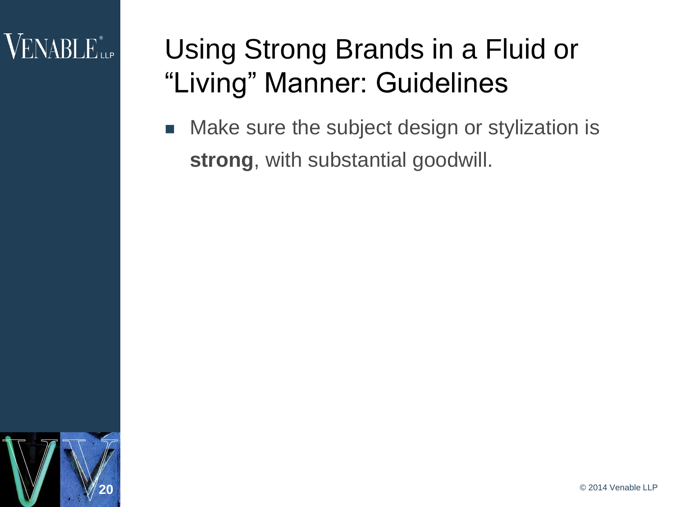#### $VENABLE_{\sf LLP}^*$

# Using Strong Brands in a Fluid or "Living" Manner: Guidelines

**Make sure the subject design or stylization is strong**, with substantial goodwill.

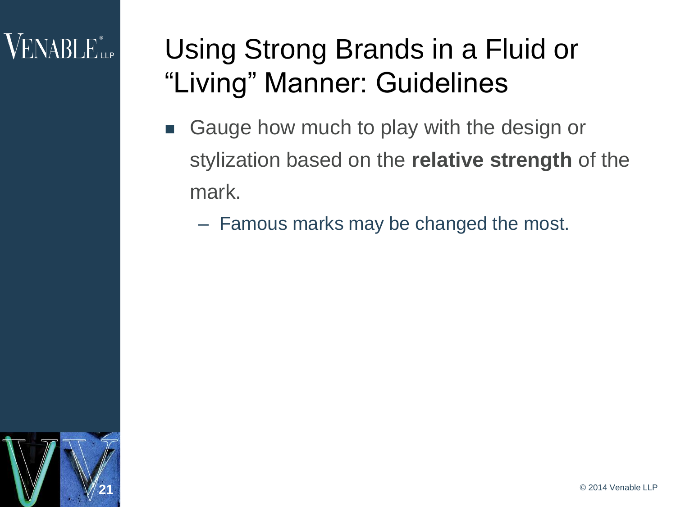#### $VENABLE_{\sf LLP}^*$

- **Gauge how much to play with the design or** stylization based on the **relative strength** of the mark.
	- Famous marks may be changed the most.

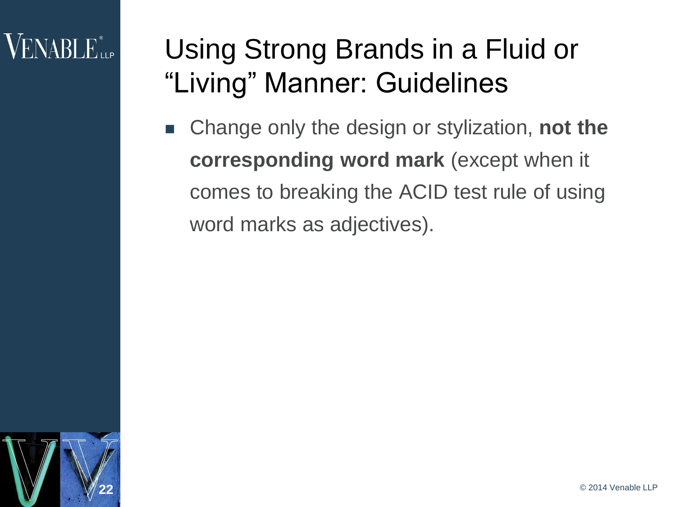### Using Strong Brands in a Fluid or "Living" Manner: Guidelines

■ Change only the design or stylization, **not the corresponding word mark** (except when it comes to breaking the ACID test rule of using word marks as adjectives).

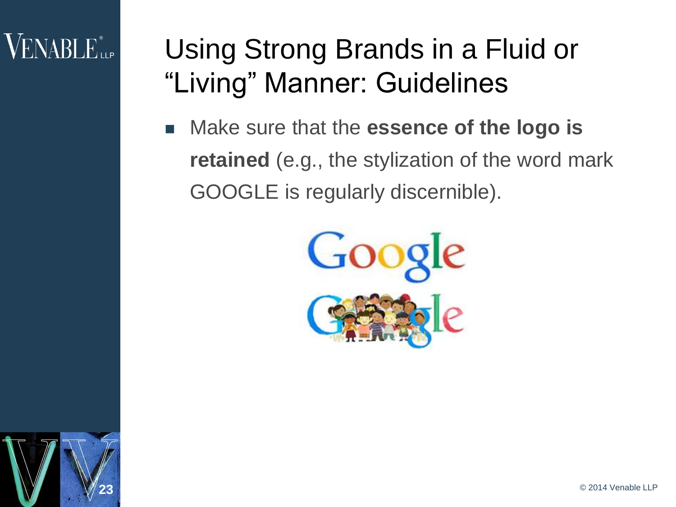#### $\rm VENABLE$  ill p

#### Using Strong Brands in a Fluid or "Living" Manner: Guidelines

■ Make sure that the **essence of the logo is** retained (e.g., the stylization of the word mark GOOGLE is regularly discernible).



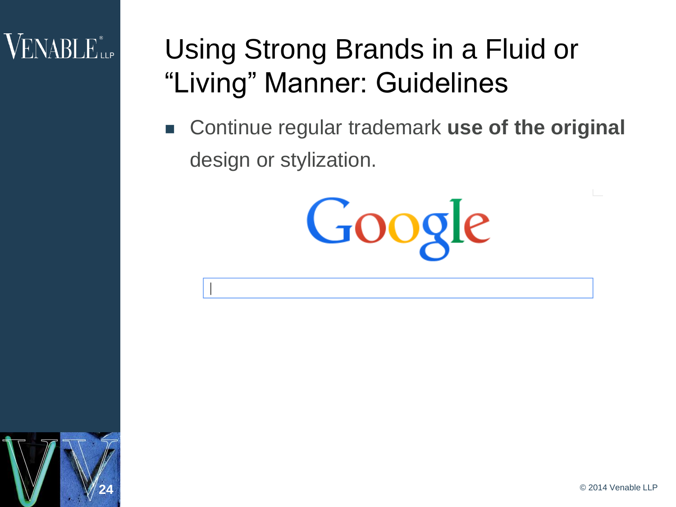#### VENABLE<sup>®</sup>LLP

## Using Strong Brands in a Fluid or "Living" Manner: Guidelines

■ Continue regular trademark use of the original design or stylization.



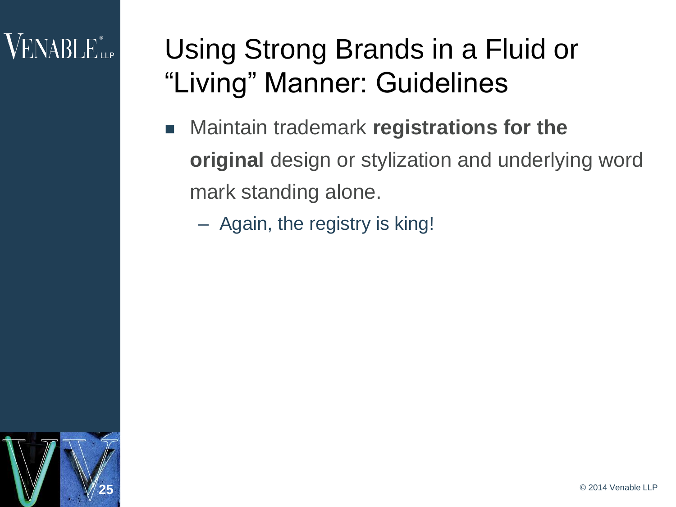#### $VENABLE_{\sf LLP}^*$

- **EXED Maintain trademark registrations for the original** design or stylization and underlying word mark standing alone.
	- Again, the registry is king!

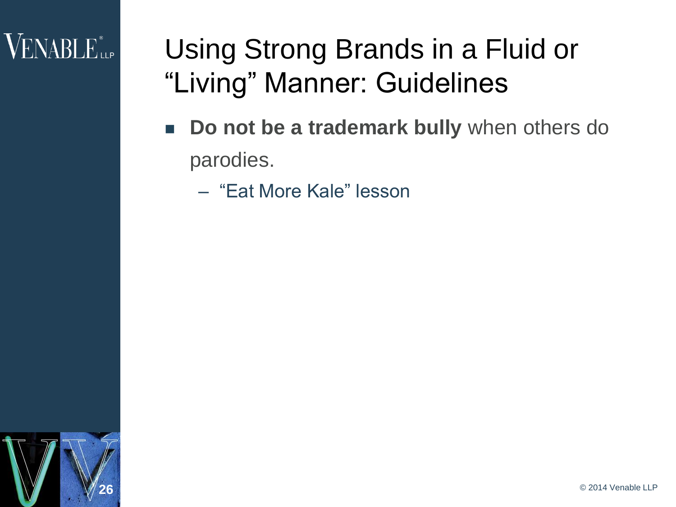#### VENABLE<sup>®</sup>LLP

- **Do not be a trademark bully** when others do parodies.
	- "Eat More Kale" lesson

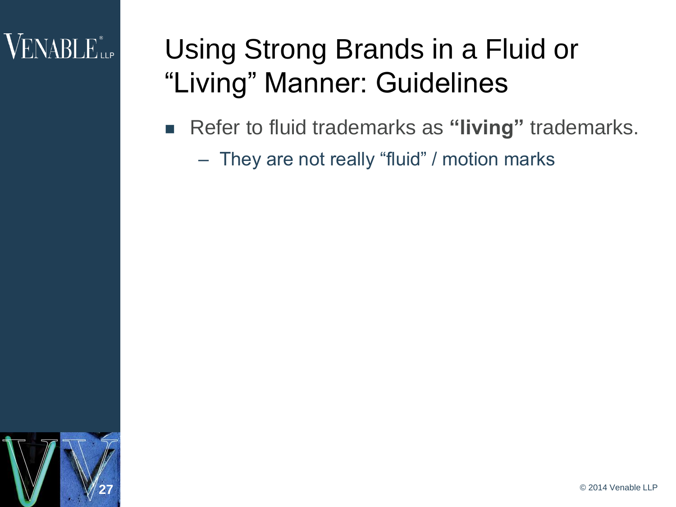#### $VENABLE_{\sf LLP}^*$

- Refer to fluid trademarks as "living" trademarks.
	- They are not really "fluid" / motion marks

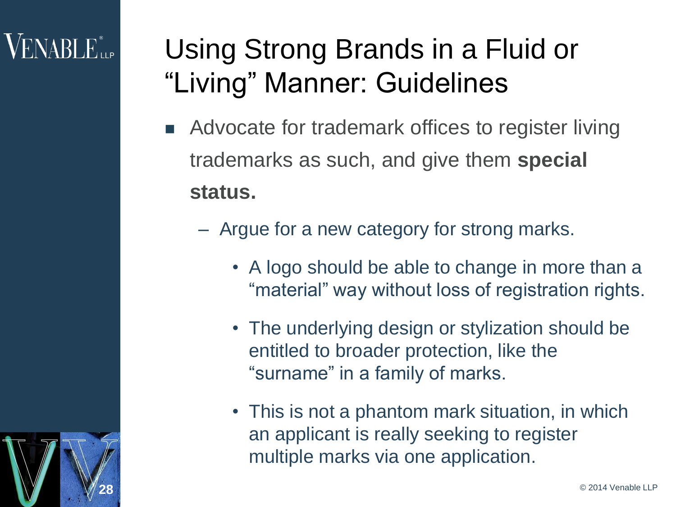#### $\sf{VENABLE}^*$

28

- Advocate for trademark offices to register living trademarks as such, and give them **special status.**
	- Argue for a new category for strong marks.
		- A logo should be able to change in more than a "material" way without loss of registration rights.
		- The underlying design or stylization should be entitled to broader protection, like the "surname" in a family of marks.
		- This is not a phantom mark situation, in which an applicant is really seeking to register multiple marks via one application.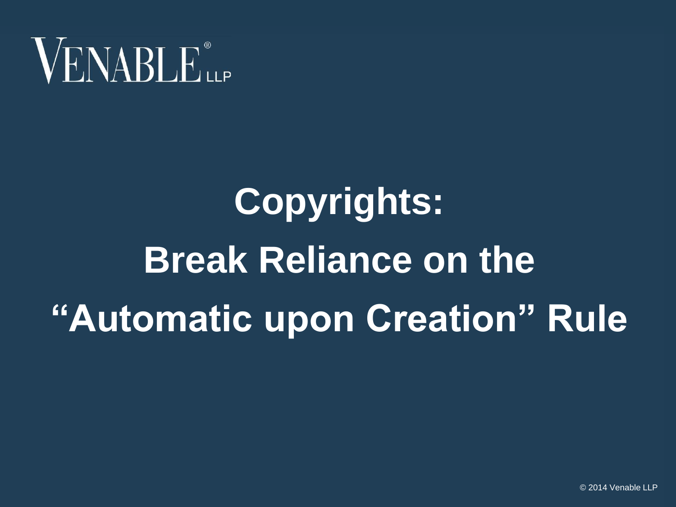

# **Copyrights: Break Reliance on the "Automatic upon Creation" Rule**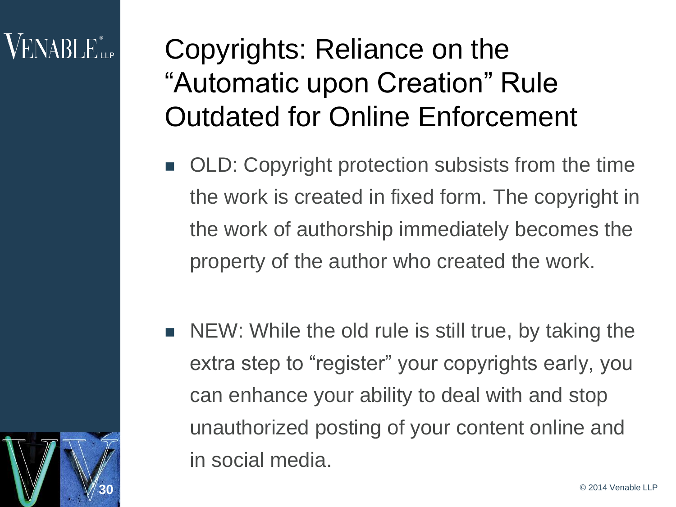#### VENABLE".

30

# Copyrights: Reliance on the "Automatic upon Creation" Rule Outdated for Online Enforcement

- OLD: Copyright protection subsists from the time the work is created in fixed form. The copyright in the work of authorship immediately becomes the property of the author who created the work.
- NEW: While the old rule is still true, by taking the extra step to "register" your copyrights early, you can enhance your ability to deal with and stop unauthorized posting of your content online and in social media.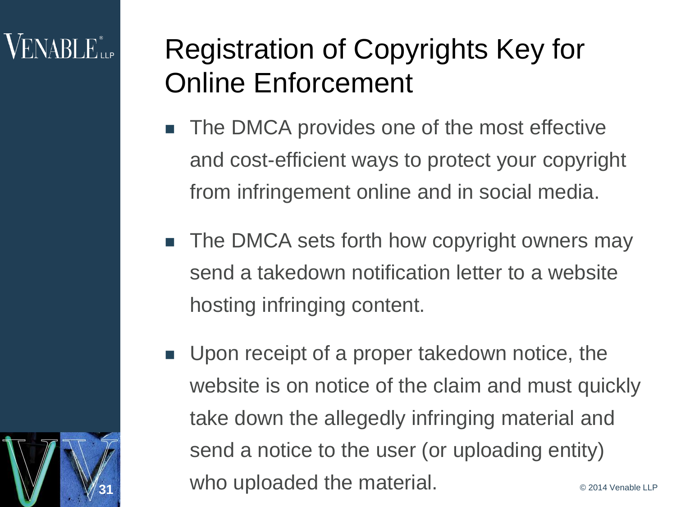31

- The DMCA provides one of the most effective and cost-efficient ways to protect your copyright from infringement online and in social media.
- **The DMCA sets forth how copyright owners may** send a takedown notification letter to a website hosting infringing content.
- **Upon receipt of a proper takedown notice, the** website is on notice of the claim and must quickly take down the allegedly infringing material and send a notice to the user (or uploading entity) **32014 Venable LLP 32014 Venable LLP**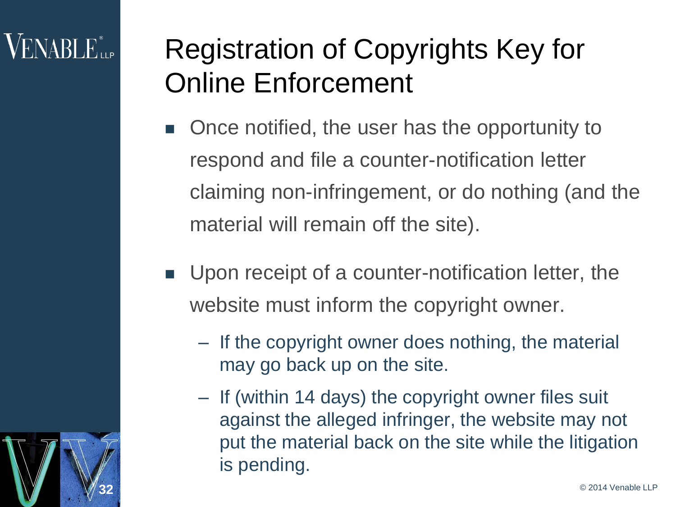32

- Once notified, the user has the opportunity to respond and file a counter-notification letter claiming non-infringement, or do nothing (and the material will remain off the site).
- **Upon receipt of a counter-notification letter, the** website must inform the copyright owner.
	- If the copyright owner does nothing, the material may go back up on the site.
	- If (within 14 days) the copyright owner files suit against the alleged infringer, the website may not put the material back on the site while the litigation is pending.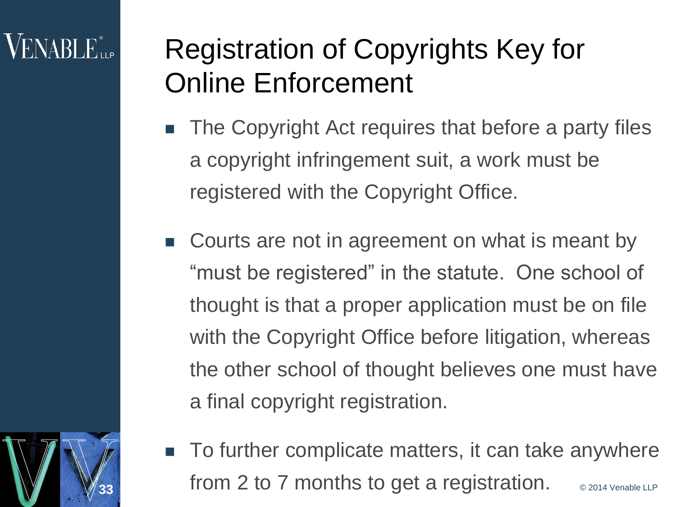#### $\rm VENABI$   $\rm E_{\rm up}^{\ast}$

- The Copyright Act requires that before a party files a copyright infringement suit, a work must be registered with the Copyright Office.
- Courts are not in agreement on what is meant by "must be registered" in the statute. One school of thought is that a proper application must be on file with the Copyright Office before litigation, whereas the other school of thought believes one must have a final copyright registration.
- $\ddot{\phantom{a}}$
- To further complicate matters, it can take anywhere **from 2 to 7 months to get a registration.**  $_{\odot}$  2014 Venable LLP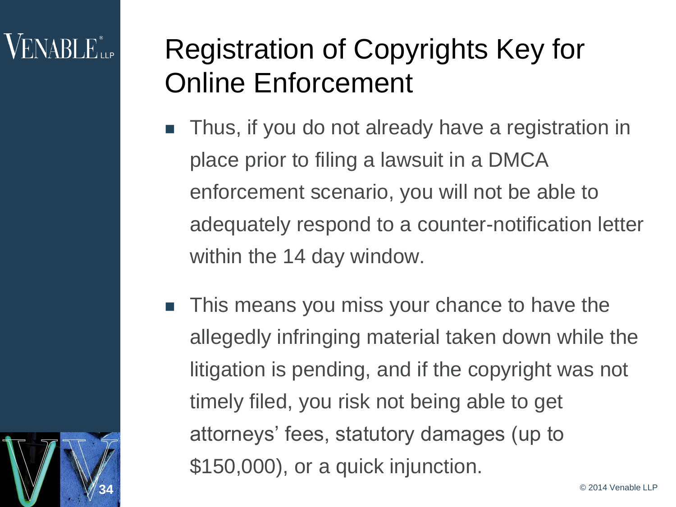34

- Thus, if you do not already have a registration in place prior to filing a lawsuit in a DMCA enforcement scenario, you will not be able to adequately respond to a counter-notification letter within the 14 day window.
- **This means you miss your chance to have the** allegedly infringing material taken down while the litigation is pending, and if the copyright was not timely filed, you risk not being able to get attorneys' fees, statutory damages (up to \$150,000), or a quick injunction.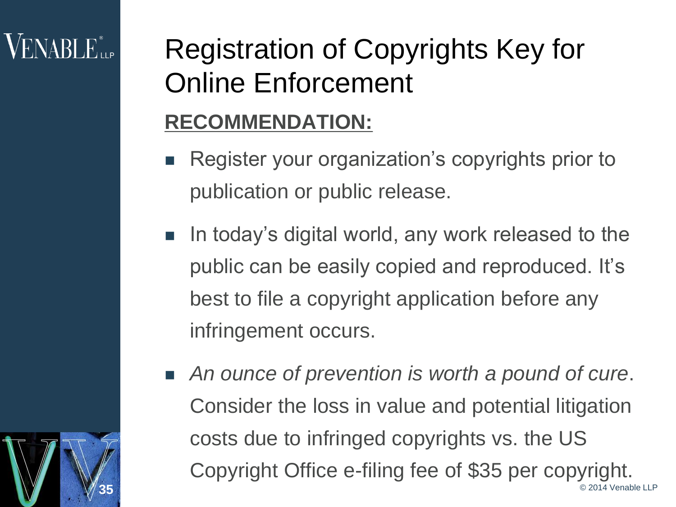$\ddot{\phantom{0}}$ 

# Registration of Copyrights Key for Online Enforcement **RECOMMENDATION:**

- Register your organization's copyrights prior to publication or public release.
- $\blacksquare$  In today's digital world, any work released to the public can be easily copied and reproduced. It's best to file a copyright application before any infringement occurs.
- *An ounce of prevention is worth a pound of cure*. Consider the loss in value and potential litigation costs due to infringed copyrights vs. the US Copyright Office e-filing fee of \$35 per copyright. **35** © 2014 Venable LLP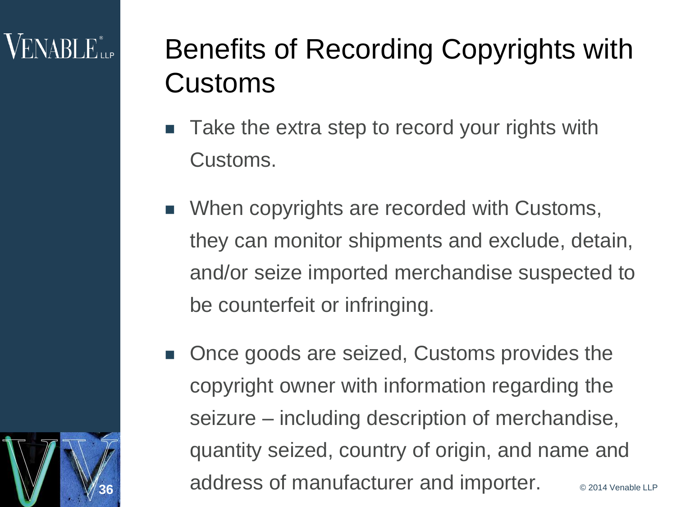36

# Benefits of Recording Copyrights with Customs

- Take the extra step to record your rights with Customs.
- **Notal Millen Copyrights are recorded with Customs,** they can monitor shipments and exclude, detain, and/or seize imported merchandise suspected to be counterfeit or infringing.
- Once goods are seized, Customs provides the copyright owner with information regarding the seizure – including description of merchandise, quantity seized, country of origin, and name and **308** address of manufacturer and importer.  $\bullet$  2014 Venable LLP